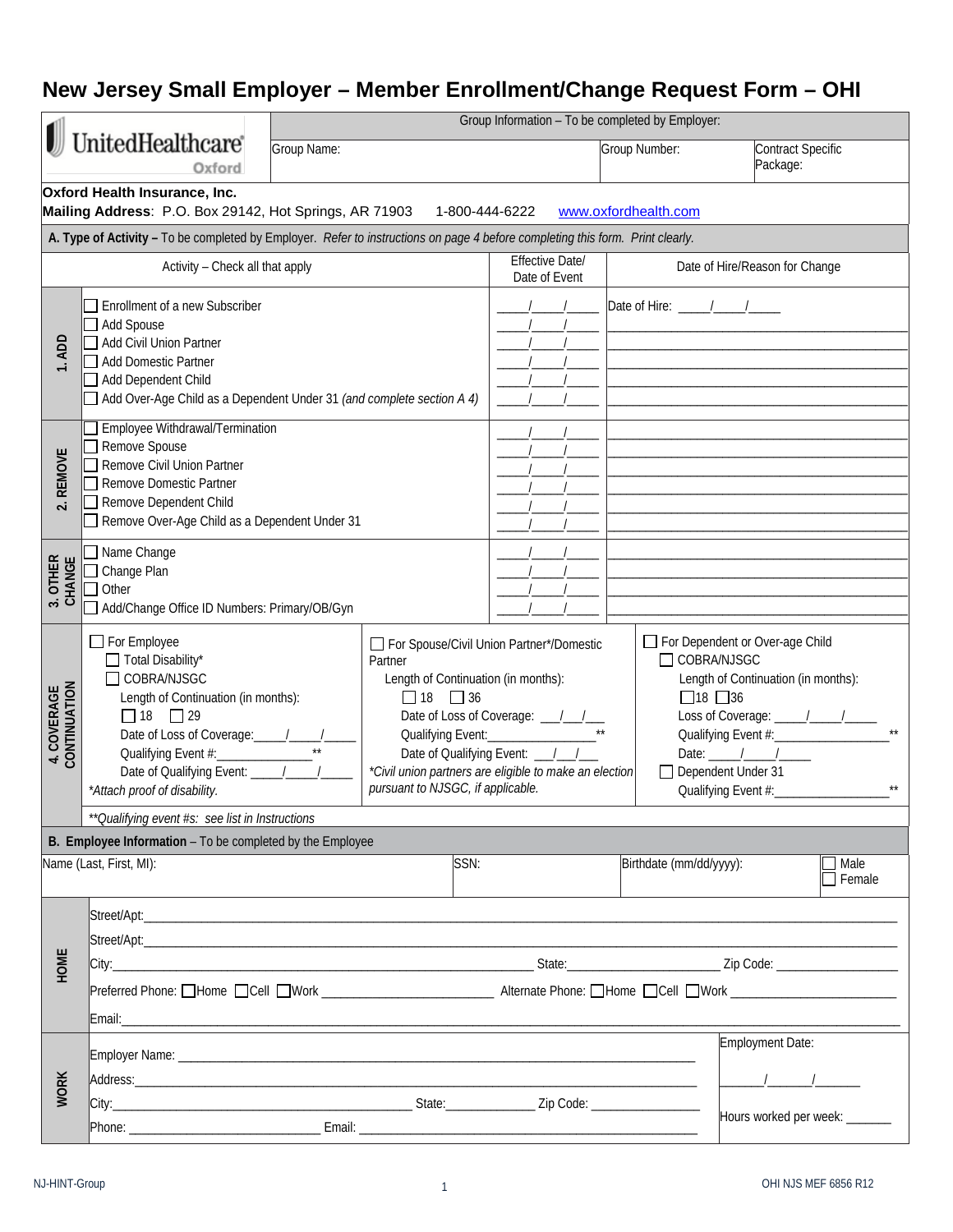## **New Jersey Small Employer – Member Enrollment/Change Request Form – OHI**

|                                          |                                                                                                                                                                                                                       | Group Information - To be completed by Employer: |                |                                                                                                                                                                              |                         |                                                                                                                                                                                            |                       |  |
|------------------------------------------|-----------------------------------------------------------------------------------------------------------------------------------------------------------------------------------------------------------------------|--------------------------------------------------|----------------|------------------------------------------------------------------------------------------------------------------------------------------------------------------------------|-------------------------|--------------------------------------------------------------------------------------------------------------------------------------------------------------------------------------------|-----------------------|--|
| UnitedHealthcare®<br>Oxford              |                                                                                                                                                                                                                       | Group Name:                                      |                |                                                                                                                                                                              | Group Number:           | Contract Specific<br>Package:                                                                                                                                                              |                       |  |
|                                          | Oxford Health Insurance, Inc.<br>Mailing Address: P.O. Box 29142, Hot Springs, AR 71903                                                                                                                               |                                                  | 1-800-444-6222 |                                                                                                                                                                              | www.oxfordhealth.com    |                                                                                                                                                                                            |                       |  |
|                                          | A. Type of Activity - To be completed by Employer. Refer to instructions on page 4 before completing this form. Print clearly.                                                                                        |                                                  |                |                                                                                                                                                                              |                         |                                                                                                                                                                                            |                       |  |
|                                          | Activity - Check all that apply                                                                                                                                                                                       |                                                  |                | Effective Date/<br>Date of Event                                                                                                                                             |                         | Date of Hire/Reason for Change                                                                                                                                                             |                       |  |
| 1.ADD                                    | Enrollment of a new Subscriber<br>Add Spouse<br>Add Civil Union Partner<br><b>Add Domestic Partner</b><br>Add Dependent Child<br>Add Over-Age Child as a Dependent Under 31 (and complete section A 4)                |                                                  |                |                                                                                                                                                                              |                         |                                                                                                                                                                                            |                       |  |
| <b>REMOVE</b><br>$\overline{\mathbf{c}}$ | Employee Withdrawal/Termination<br>Remove Spouse<br>Remove Civil Union Partner<br>Remove Domestic Partner<br>Remove Dependent Child<br>Remove Over-Age Child as a Dependent Under 31                                  |                                                  |                |                                                                                                                                                                              |                         |                                                                                                                                                                                            |                       |  |
| 3. OTHER<br>CHANGE                       | Name Change<br>$\Box$ Change Plan<br>Other<br>Add/Change Office ID Numbers: Primary/OB/Gyn                                                                                                                            |                                                  |                |                                                                                                                                                                              |                         |                                                                                                                                                                                            |                       |  |
| 4. COVERAGE<br>CONTINUATION              | For Employee<br>Total Disability*<br>Partner<br>COBRA/NJSGC<br>Length of Continuation (in months):<br>$\Box$ 18 $\Box$ 36<br>$\Box$ 18 $\Box$ 29<br>pursuant to NJSGC, if applicable.<br>*Attach proof of disability. |                                                  |                | For Spouse/Civil Union Partner*/Domestic<br>Length of Continuation (in months):<br>Date of Qualifying Event: \[ \]<br>*Civil union partners are eligible to make an election |                         | For Dependent or Over-age Child<br>□ COBRA/NJSGC<br>Length of Continuation (in months):<br>$\Box$ 18 $\Box$ 36<br>Date: $\frac{1}{\sqrt{2}}$<br>Dependent Under 31<br>Qualifying Event #:_ |                       |  |
|                                          | ** Qualifying event #s: see list in Instructions                                                                                                                                                                      |                                                  |                |                                                                                                                                                                              |                         |                                                                                                                                                                                            |                       |  |
|                                          | B. Employee Information - To be completed by the Employee                                                                                                                                                             |                                                  |                |                                                                                                                                                                              |                         |                                                                                                                                                                                            |                       |  |
|                                          | Name (Last, First, MI):                                                                                                                                                                                               |                                                  | SSN:           |                                                                                                                                                                              | Birthdate (mm/dd/yyyy): |                                                                                                                                                                                            | Male<br>$\Box$ Female |  |
| HOME                                     |                                                                                                                                                                                                                       |                                                  |                |                                                                                                                                                                              |                         |                                                                                                                                                                                            |                       |  |
| <b>WORK</b>                              |                                                                                                                                                                                                                       |                                                  |                |                                                                                                                                                                              |                         | Employment Date:<br>Hours worked per week: _______                                                                                                                                         |                       |  |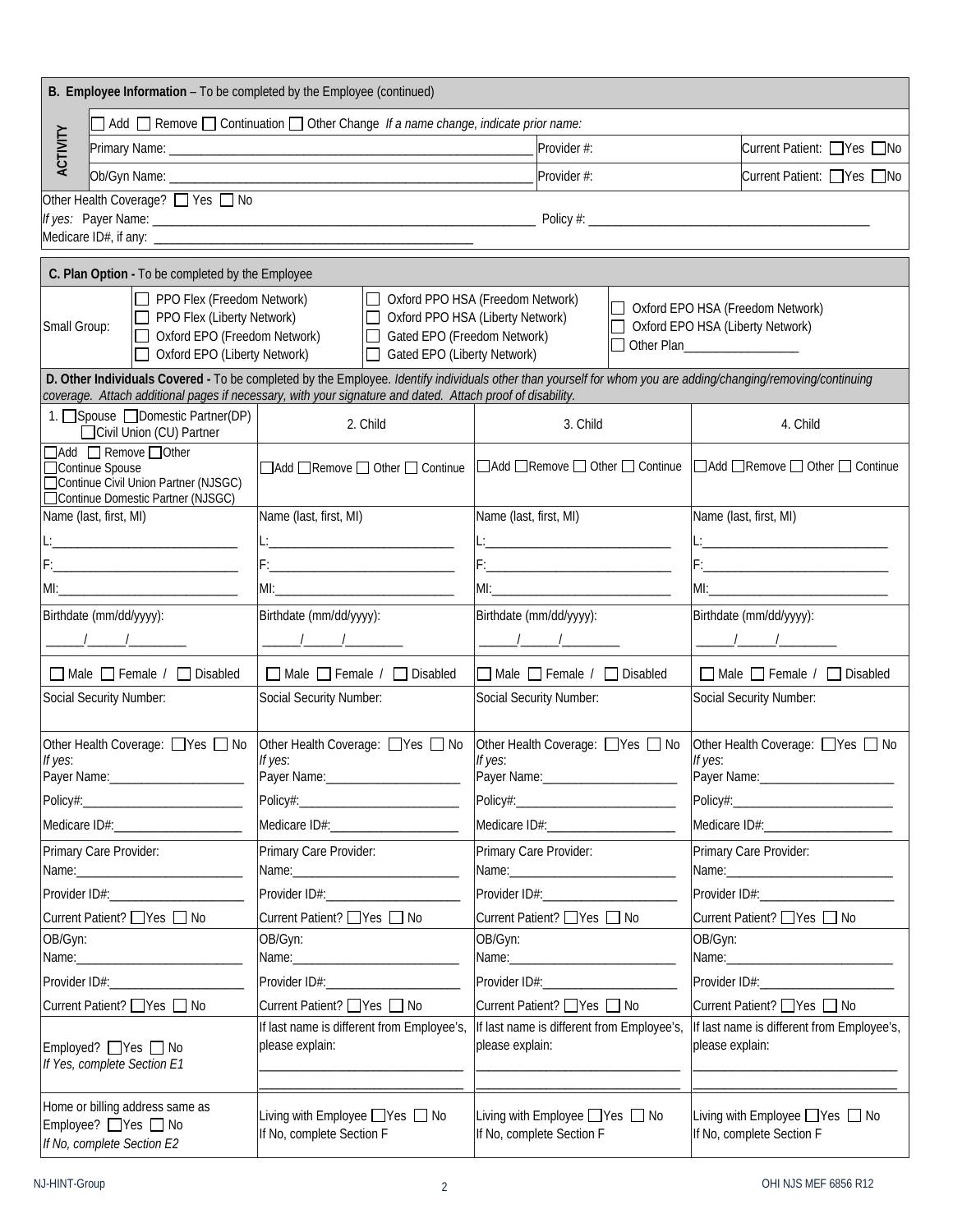| B. Employee Information - To be completed by the Employee (continued)                                                                                                                                                          |                                                                                                                                                                                                                                                                             |                                                                                                   |                                       |                                                                                                                |             |                                                                                                                                                                                                                                |                                                              |                                 |
|--------------------------------------------------------------------------------------------------------------------------------------------------------------------------------------------------------------------------------|-----------------------------------------------------------------------------------------------------------------------------------------------------------------------------------------------------------------------------------------------------------------------------|---------------------------------------------------------------------------------------------------|---------------------------------------|----------------------------------------------------------------------------------------------------------------|-------------|--------------------------------------------------------------------------------------------------------------------------------------------------------------------------------------------------------------------------------|--------------------------------------------------------------|---------------------------------|
| $\Box$ Add $\Box$ Remove $\Box$ Continuation $\Box$ Other Change If a name change, indicate prior name:                                                                                                                        |                                                                                                                                                                                                                                                                             |                                                                                                   |                                       |                                                                                                                |             |                                                                                                                                                                                                                                |                                                              |                                 |
| ACTIVITY                                                                                                                                                                                                                       |                                                                                                                                                                                                                                                                             |                                                                                                   |                                       |                                                                                                                | Provider #: |                                                                                                                                                                                                                                |                                                              | Current Patient: PYes no        |
|                                                                                                                                                                                                                                |                                                                                                                                                                                                                                                                             |                                                                                                   |                                       |                                                                                                                | Provider #: |                                                                                                                                                                                                                                |                                                              | Current Patient: Yes ONo        |
| Other Health Coverage? □ Yes □ No                                                                                                                                                                                              |                                                                                                                                                                                                                                                                             |                                                                                                   |                                       |                                                                                                                |             |                                                                                                                                                                                                                                |                                                              |                                 |
|                                                                                                                                                                                                                                |                                                                                                                                                                                                                                                                             |                                                                                                   |                                       |                                                                                                                |             |                                                                                                                                                                                                                                |                                                              |                                 |
|                                                                                                                                                                                                                                |                                                                                                                                                                                                                                                                             |                                                                                                   |                                       |                                                                                                                |             |                                                                                                                                                                                                                                |                                                              |                                 |
| C. Plan Option - To be completed by the Employee                                                                                                                                                                               |                                                                                                                                                                                                                                                                             |                                                                                                   |                                       |                                                                                                                |             |                                                                                                                                                                                                                                |                                                              |                                 |
| PPO Flex (Freedom Network)<br>PPO Flex (Liberty Network)                                                                                                                                                                       |                                                                                                                                                                                                                                                                             | □ Oxford PPO HSA (Freedom Network)                                                                |                                       | Oxford PPO HSA (Liberty Network)                                                                               |             | □ Oxford EPO HSA (Freedom Network)                                                                                                                                                                                             |                                                              |                                 |
| Small Group:<br>□ Oxford EPO (Freedom Network)                                                                                                                                                                                 |                                                                                                                                                                                                                                                                             | Gated EPO (Freedom Network)                                                                       |                                       |                                                                                                                |             | □ Oxford EPO HSA (Liberty Network)<br>□ Other Plan_________________                                                                                                                                                            |                                                              |                                 |
| □ Oxford EPO (Liberty Network)                                                                                                                                                                                                 |                                                                                                                                                                                                                                                                             |                                                                                                   | Gated EPO (Liberty Network)           |                                                                                                                |             |                                                                                                                                                                                                                                |                                                              |                                 |
|                                                                                                                                                                                                                                | D. Other Individuals Covered - To be completed by the Employee. Identify individuals other than yourself for whom you are adding/changing/removing/continuing<br>coverage. Attach additional pages if necessary, with your signature and dated. Attach proof of disability. |                                                                                                   |                                       |                                                                                                                |             |                                                                                                                                                                                                                                |                                                              |                                 |
| 1. Spouse □ Domestic Partner(DP)<br>□ Civil Union (CU) Partner                                                                                                                                                                 |                                                                                                                                                                                                                                                                             | 2. Child                                                                                          |                                       | 3. Child                                                                                                       |             | 4. Child                                                                                                                                                                                                                       |                                                              |                                 |
| △ Add △ Remove △ Other                                                                                                                                                                                                         |                                                                                                                                                                                                                                                                             | □Add □Remove □ Other □ Continue  □Add □Remove □ Other □ Continue  □Add □Remove □ Other □ Continue |                                       |                                                                                                                |             |                                                                                                                                                                                                                                |                                                              |                                 |
| □Continue Spouse<br>□ Continue Civil Union Partner (NJSGC)                                                                                                                                                                     |                                                                                                                                                                                                                                                                             |                                                                                                   |                                       |                                                                                                                |             |                                                                                                                                                                                                                                |                                                              |                                 |
| □ Continue Domestic Partner (NJSGC)<br>Name (last, first, MI)                                                                                                                                                                  |                                                                                                                                                                                                                                                                             | Name (last, first, MI)                                                                            |                                       | Name (last, first, MI)                                                                                         |             | Name (last, first, MI)                                                                                                                                                                                                         |                                                              |                                 |
|                                                                                                                                                                                                                                |                                                                                                                                                                                                                                                                             | <u>L: _________________________________</u>                                                       |                                       | <u>L: _____________________________</u>                                                                        |             |                                                                                                                                                                                                                                | <u>L: _____________________________</u>                      |                                 |
|                                                                                                                                                                                                                                |                                                                                                                                                                                                                                                                             |                                                                                                   |                                       | F: 2008 - 2008 - 2008 - 2008 - 2008 - 2008 - 2019 - 2019 - 2019 - 2019 - 2019 - 2019 - 2019 - 2019 - 2019 - 20 |             |                                                                                                                                                                                                                                |                                                              |                                 |
|                                                                                                                                                                                                                                |                                                                                                                                                                                                                                                                             |                                                                                                   |                                       |                                                                                                                |             |                                                                                                                                                                                                                                |                                                              |                                 |
| Birthdate (mm/dd/yyyy):                                                                                                                                                                                                        |                                                                                                                                                                                                                                                                             | Birthdate (mm/dd/yyyy):                                                                           |                                       | Birthdate (mm/dd/yyyy):                                                                                        |             | Birthdate (mm/dd/yyyy):                                                                                                                                                                                                        |                                                              |                                 |
|                                                                                                                                                                                                                                |                                                                                                                                                                                                                                                                             |                                                                                                   |                                       |                                                                                                                |             |                                                                                                                                                                                                                                |                                                              |                                 |
| $\Box$ Male $\Box$ Female / $\Box$ Disabled                                                                                                                                                                                    |                                                                                                                                                                                                                                                                             | □ Male □ Female / □ Disabled                                                                      |                                       | $\Box$ Male $\Box$ Female / $\Box$ Disabled                                                                    |             |                                                                                                                                                                                                                                | Male Female / Disabled                                       |                                 |
| Social Security Number:                                                                                                                                                                                                        |                                                                                                                                                                                                                                                                             | Social Security Number:                                                                           |                                       | Social Security Number:                                                                                        |             |                                                                                                                                                                                                                                | Social Security Number:                                      |                                 |
|                                                                                                                                                                                                                                |                                                                                                                                                                                                                                                                             |                                                                                                   |                                       |                                                                                                                |             |                                                                                                                                                                                                                                |                                                              |                                 |
| Other Health Coverage: □ Yes □ No<br>If yes:                                                                                                                                                                                   |                                                                                                                                                                                                                                                                             | Other Health Coverage: □ Yes □ No<br>If yes:                                                      |                                       | Other Health Coverage: □ Yes □ No<br>If yes:                                                                   |             |                                                                                                                                                                                                                                | If yes:                                                      | Other Health Coverage: Yes O No |
| Payer Name: _________________________                                                                                                                                                                                          |                                                                                                                                                                                                                                                                             |                                                                                                   |                                       |                                                                                                                |             |                                                                                                                                                                                                                                |                                                              |                                 |
|                                                                                                                                                                                                                                |                                                                                                                                                                                                                                                                             |                                                                                                   |                                       |                                                                                                                |             |                                                                                                                                                                                                                                |                                                              |                                 |
|                                                                                                                                                                                                                                |                                                                                                                                                                                                                                                                             |                                                                                                   |                                       |                                                                                                                |             | Medicare ID#:_____________________                                                                                                                                                                                             |                                                              |                                 |
| Primary Care Provider:                                                                                                                                                                                                         |                                                                                                                                                                                                                                                                             | Primary Care Provider:                                                                            |                                       | Primary Care Provider:                                                                                         |             | Primary Care Provider:                                                                                                                                                                                                         |                                                              |                                 |
| Provider ID#: Network and the state of the state of the state of the state of the state of the state of the state of the state of the state of the state of the state of the state of the state of the state of the state of t |                                                                                                                                                                                                                                                                             |                                                                                                   |                                       |                                                                                                                |             | Provider ID#: Network and the set of the set of the set of the set of the set of the set of the set of the set of the set of the set of the set of the set of the set of the set of the set of the set of the set of the set o |                                                              |                                 |
| Current Patient? Ves □ No                                                                                                                                                                                                      |                                                                                                                                                                                                                                                                             | Current Patient? Ves □ No                                                                         |                                       | Current Patient? Ves Q No                                                                                      |             | Current Patient? ■ Yes ■ No                                                                                                                                                                                                    |                                                              |                                 |
| OB/Gyn:                                                                                                                                                                                                                        | OB/Gyn:                                                                                                                                                                                                                                                                     |                                                                                                   |                                       | OB/Gyn:                                                                                                        |             |                                                                                                                                                                                                                                | OB/Gyn:                                                      |                                 |
|                                                                                                                                                                                                                                |                                                                                                                                                                                                                                                                             |                                                                                                   |                                       |                                                                                                                |             |                                                                                                                                                                                                                                |                                                              |                                 |
|                                                                                                                                                                                                                                |                                                                                                                                                                                                                                                                             |                                                                                                   | Provider ID#:________________________ |                                                                                                                |             |                                                                                                                                                                                                                                |                                                              |                                 |
| Current Patient? Ves □ No                                                                                                                                                                                                      |                                                                                                                                                                                                                                                                             | Current Patient? Ves □ No<br>If last name is different from Employee's,                           |                                       | Current Patient? ■ Yes ■ No<br>If last name is different from Employee's,                                      |             | Current Patient? □ Yes □ No<br>If last name is different from Employee's,                                                                                                                                                      |                                                              |                                 |
| Employed? Yes O No<br>If Yes, complete Section E1                                                                                                                                                                              |                                                                                                                                                                                                                                                                             | please explain:                                                                                   |                                       | please explain:                                                                                                |             | please explain:                                                                                                                                                                                                                |                                                              |                                 |
| Home or billing address same as<br>Employee? Yes O No<br>If No, complete Section E2                                                                                                                                            |                                                                                                                                                                                                                                                                             | Living with Employee ■ Yes ■ No<br>If No, complete Section F                                      |                                       | Living with Employee ■ Yes ■ No<br>If No, complete Section F                                                   |             |                                                                                                                                                                                                                                | Living with Employee ■ Yes ■ No<br>If No, complete Section F |                                 |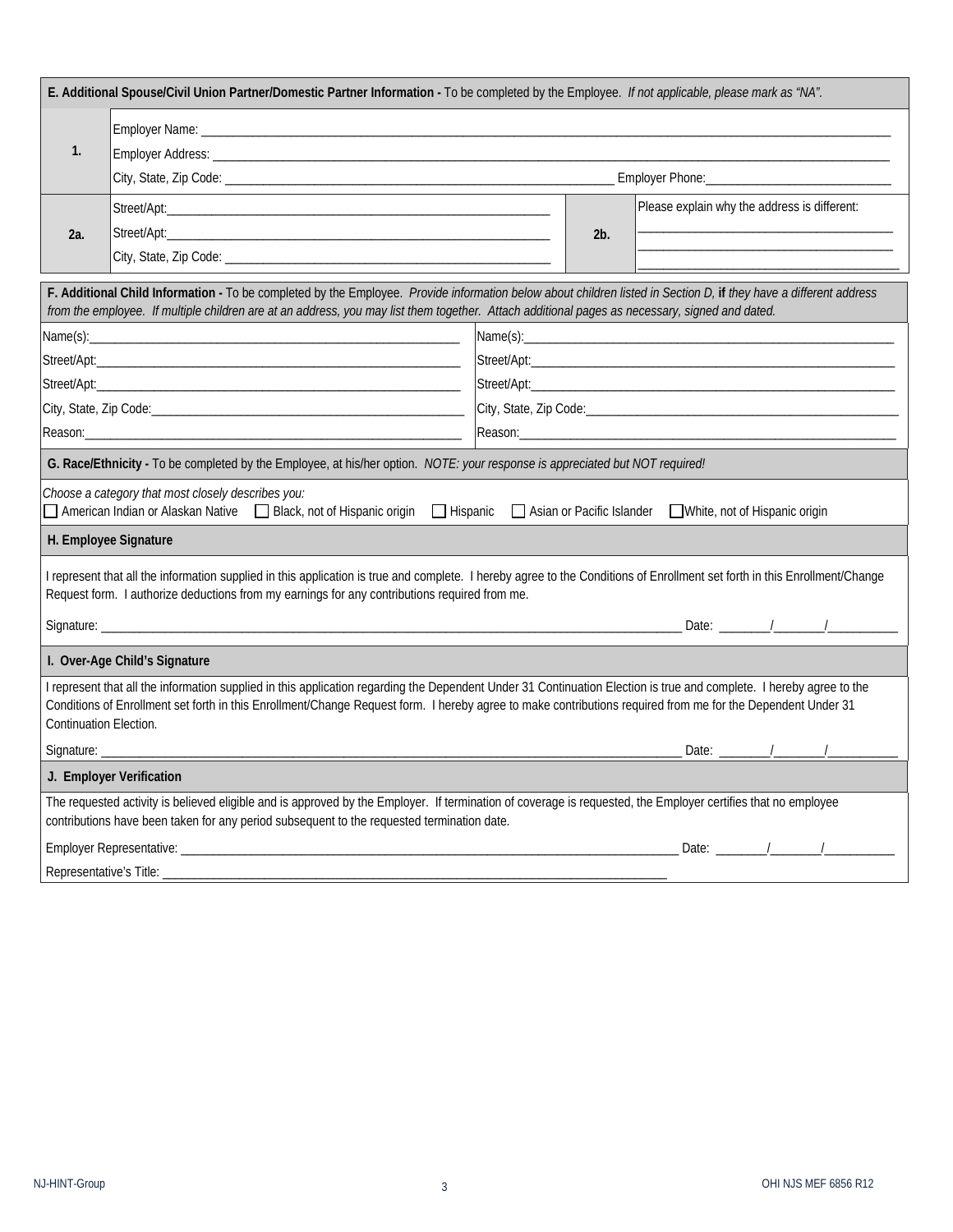| E. Additional Spouse/Civil Union Partner/Domestic Partner Information - To be completed by the Employee. If not applicable, please mark as "NA".                                                                                                                                                                                                              |                                                                                                                                                                                                                                                                                                                     |                     |                                              |                            |  |  |  |  |  |
|---------------------------------------------------------------------------------------------------------------------------------------------------------------------------------------------------------------------------------------------------------------------------------------------------------------------------------------------------------------|---------------------------------------------------------------------------------------------------------------------------------------------------------------------------------------------------------------------------------------------------------------------------------------------------------------------|---------------------|----------------------------------------------|----------------------------|--|--|--|--|--|
|                                                                                                                                                                                                                                                                                                                                                               |                                                                                                                                                                                                                                                                                                                     |                     |                                              |                            |  |  |  |  |  |
| 1.                                                                                                                                                                                                                                                                                                                                                            |                                                                                                                                                                                                                                                                                                                     |                     |                                              |                            |  |  |  |  |  |
|                                                                                                                                                                                                                                                                                                                                                               |                                                                                                                                                                                                                                                                                                                     |                     |                                              |                            |  |  |  |  |  |
|                                                                                                                                                                                                                                                                                                                                                               |                                                                                                                                                                                                                                                                                                                     | 2b.                 | Please explain why the address is different: |                            |  |  |  |  |  |
| 2a.                                                                                                                                                                                                                                                                                                                                                           |                                                                                                                                                                                                                                                                                                                     |                     |                                              |                            |  |  |  |  |  |
|                                                                                                                                                                                                                                                                                                                                                               |                                                                                                                                                                                                                                                                                                                     |                     |                                              |                            |  |  |  |  |  |
|                                                                                                                                                                                                                                                                                                                                                               | F. Additional Child Information - To be completed by the Employee. Provide information below about children listed in Section D, if they have a different address<br>from the employee. If multiple children are at an address, you may list them together. Attach additional pages as necessary, signed and dated. |                     |                                              |                            |  |  |  |  |  |
|                                                                                                                                                                                                                                                                                                                                                               |                                                                                                                                                                                                                                                                                                                     |                     |                                              |                            |  |  |  |  |  |
|                                                                                                                                                                                                                                                                                                                                                               |                                                                                                                                                                                                                                                                                                                     |                     |                                              |                            |  |  |  |  |  |
|                                                                                                                                                                                                                                                                                                                                                               |                                                                                                                                                                                                                                                                                                                     |                     |                                              |                            |  |  |  |  |  |
|                                                                                                                                                                                                                                                                                                                                                               |                                                                                                                                                                                                                                                                                                                     |                     |                                              |                            |  |  |  |  |  |
|                                                                                                                                                                                                                                                                                                                                                               |                                                                                                                                                                                                                                                                                                                     | Reason:____________ |                                              |                            |  |  |  |  |  |
|                                                                                                                                                                                                                                                                                                                                                               | G. Race/Ethnicity - To be completed by the Employee, at his/her option. NOTE: your response is appreciated but NOT required!                                                                                                                                                                                        |                     |                                              |                            |  |  |  |  |  |
| Choose a category that most closely describes you:<br>American Indian or Alaskan Native □ Black, not of Hispanic origin<br>Hispanic Asian or Pacific Islander<br>White, not of Hispanic origin                                                                                                                                                                |                                                                                                                                                                                                                                                                                                                     |                     |                                              |                            |  |  |  |  |  |
| H. Employee Signature                                                                                                                                                                                                                                                                                                                                         |                                                                                                                                                                                                                                                                                                                     |                     |                                              |                            |  |  |  |  |  |
| I represent that all the information supplied in this application is true and complete. I hereby agree to the Conditions of Enrollment set forth in this Enrollment/Change<br>Request form. I authorize deductions from my earnings for any contributions required from me.                                                                                   |                                                                                                                                                                                                                                                                                                                     |                     |                                              |                            |  |  |  |  |  |
|                                                                                                                                                                                                                                                                                                                                                               |                                                                                                                                                                                                                                                                                                                     |                     |                                              |                            |  |  |  |  |  |
| I. Over-Age Child's Signature                                                                                                                                                                                                                                                                                                                                 |                                                                                                                                                                                                                                                                                                                     |                     |                                              |                            |  |  |  |  |  |
| I represent that all the information supplied in this application regarding the Dependent Under 31 Continuation Election is true and complete. I hereby agree to the<br>Conditions of Enrollment set forth in this Enrollment/Change Request form. I hereby agree to make contributions required from me for the Dependent Under 31<br>Continuation Election. |                                                                                                                                                                                                                                                                                                                     |                     |                                              |                            |  |  |  |  |  |
| Signature: _                                                                                                                                                                                                                                                                                                                                                  |                                                                                                                                                                                                                                                                                                                     |                     |                                              | Date: $\frac{1}{\sqrt{2}}$ |  |  |  |  |  |
| J. Employer Verification                                                                                                                                                                                                                                                                                                                                      |                                                                                                                                                                                                                                                                                                                     |                     |                                              |                            |  |  |  |  |  |
| The requested activity is believed eligible and is approved by the Employer. If termination of coverage is requested, the Employer certifies that no employee<br>contributions have been taken for any period subsequent to the requested termination date.                                                                                                   |                                                                                                                                                                                                                                                                                                                     |                     |                                              |                            |  |  |  |  |  |
|                                                                                                                                                                                                                                                                                                                                                               |                                                                                                                                                                                                                                                                                                                     |                     |                                              |                            |  |  |  |  |  |
|                                                                                                                                                                                                                                                                                                                                                               | Representative's Title:                                                                                                                                                                                                                                                                                             |                     |                                              |                            |  |  |  |  |  |